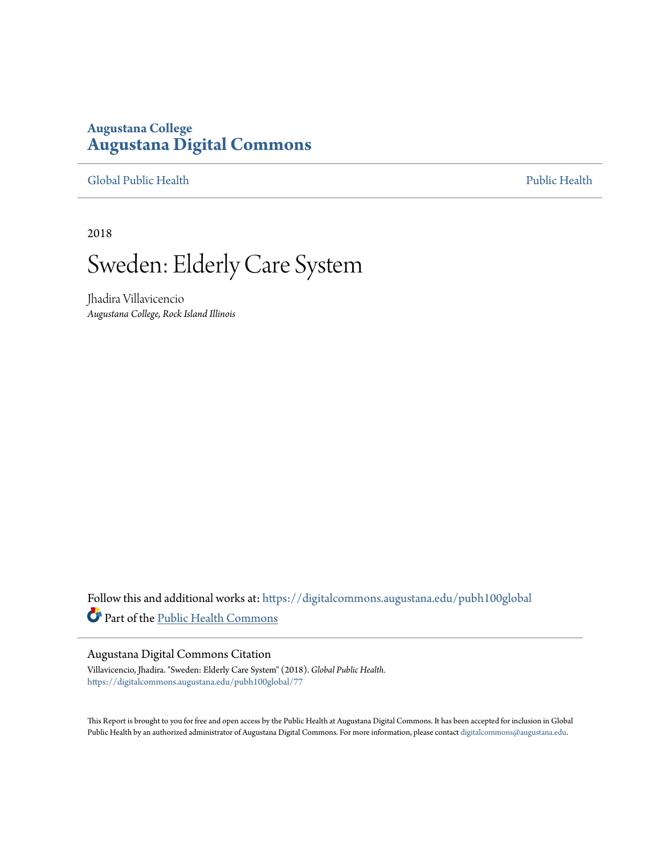## **Augustana College [Augustana Digital Commons](https://digitalcommons.augustana.edu?utm_source=digitalcommons.augustana.edu%2Fpubh100global%2F77&utm_medium=PDF&utm_campaign=PDFCoverPages)**

[Global Public Health](https://digitalcommons.augustana.edu/pubh100global?utm_source=digitalcommons.augustana.edu%2Fpubh100global%2F77&utm_medium=PDF&utm_campaign=PDFCoverPages) [Public Health](https://digitalcommons.augustana.edu/publichealth?utm_source=digitalcommons.augustana.edu%2Fpubh100global%2F77&utm_medium=PDF&utm_campaign=PDFCoverPages)

2018

# Sweden: Elderly Care System

Jhadira Villavicencio *Augustana College, Rock Island Illinois*

Follow this and additional works at: [https://digitalcommons.augustana.edu/pubh100global](https://digitalcommons.augustana.edu/pubh100global?utm_source=digitalcommons.augustana.edu%2Fpubh100global%2F77&utm_medium=PDF&utm_campaign=PDFCoverPages) Part of the [Public Health Commons](http://network.bepress.com/hgg/discipline/738?utm_source=digitalcommons.augustana.edu%2Fpubh100global%2F77&utm_medium=PDF&utm_campaign=PDFCoverPages)

#### Augustana Digital Commons Citation

Villavicencio, Jhadira. "Sweden: Elderly Care System" (2018). *Global Public Health.* [https://digitalcommons.augustana.edu/pubh100global/77](https://digitalcommons.augustana.edu/pubh100global/77?utm_source=digitalcommons.augustana.edu%2Fpubh100global%2F77&utm_medium=PDF&utm_campaign=PDFCoverPages)

This Report is brought to you for free and open access by the Public Health at Augustana Digital Commons. It has been accepted for inclusion in Global Public Health by an authorized administrator of Augustana Digital Commons. For more information, please contact [digitalcommons@augustana.edu.](mailto:digitalcommons@augustana.edu)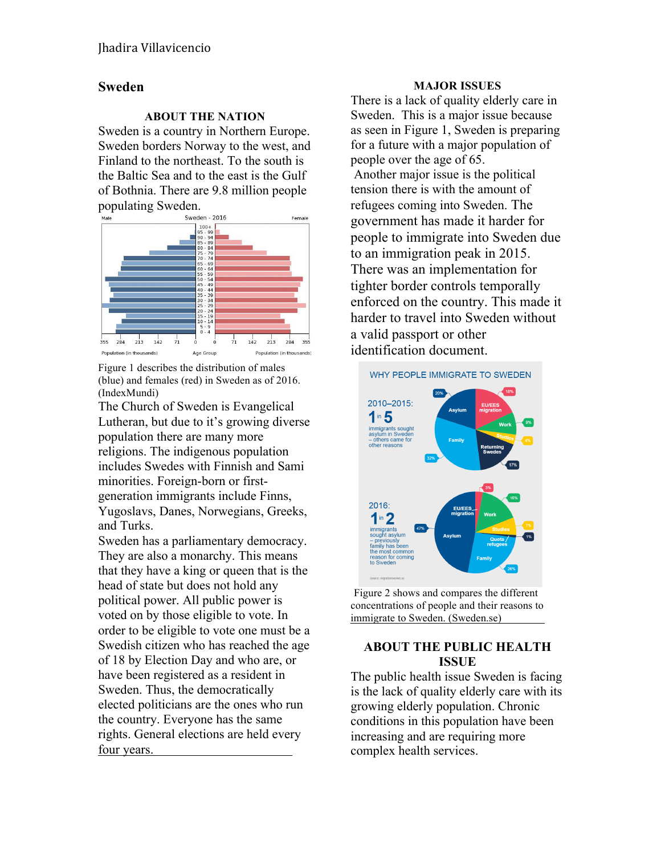## **Sweden**

#### **ABOUT THE NATION**

Sweden is a country in Northern Europe. Sweden borders Norway to the west, and Finland to the northeast. To the south is the Baltic Sea and to the east is the Gulf of Bothnia. There are 9.8 million people populating Sweden.<br>
Sweden - 2016



Figure 1 describes the distribution of males (blue) and females (red) in Sweden as of 2016. (IndexMundi)

The Church of Sweden is Evangelical Lutheran, but due to it's growing diverse population there are many more religions. The indigenous population includes Swedes with Finnish and Sami minorities. Foreign-born or firstgeneration immigrants include Finns, Yugoslavs, Danes, Norwegians, Greeks, and Turks.

Sweden has a parliamentary democracy. They are also a monarchy. This means that they have a king or queen that is the head of state but does not hold any political power. All public power is voted on by those eligible to vote. In order to be eligible to vote one must be a Swedish citizen who has reached the age of 18 by Election Day and who are, or have been registered as a resident in Sweden. Thus, the democratically elected politicians are the ones who run the country. Everyone has the same rights. General elections are held every four years.

### **MAJOR ISSUES**

There is a lack of quality elderly care in Sweden. This is a major issue because as seen in Figure 1, Sweden is preparing for a future with a major population of people over the age of 65. Another major issue is the political tension there is with the amount of refugees coming into Sweden. The government has made it harder for people to immigrate into Sweden due to an immigration peak in 2015. There was an implementation for tighter border controls temporally enforced on the country. This made it harder to travel into Sweden without a valid passport or other identification document.



Figure 2 shows and compares the different concentrations of people and their reasons to immigrate to Sweden. (Sweden.se)

## **ABOUT THE PUBLIC HEALTH ISSUE**

The public health issue Sweden is facing is the lack of quality elderly care with its growing elderly population. Chronic conditions in this population have been increasing and are requiring more complex health services.